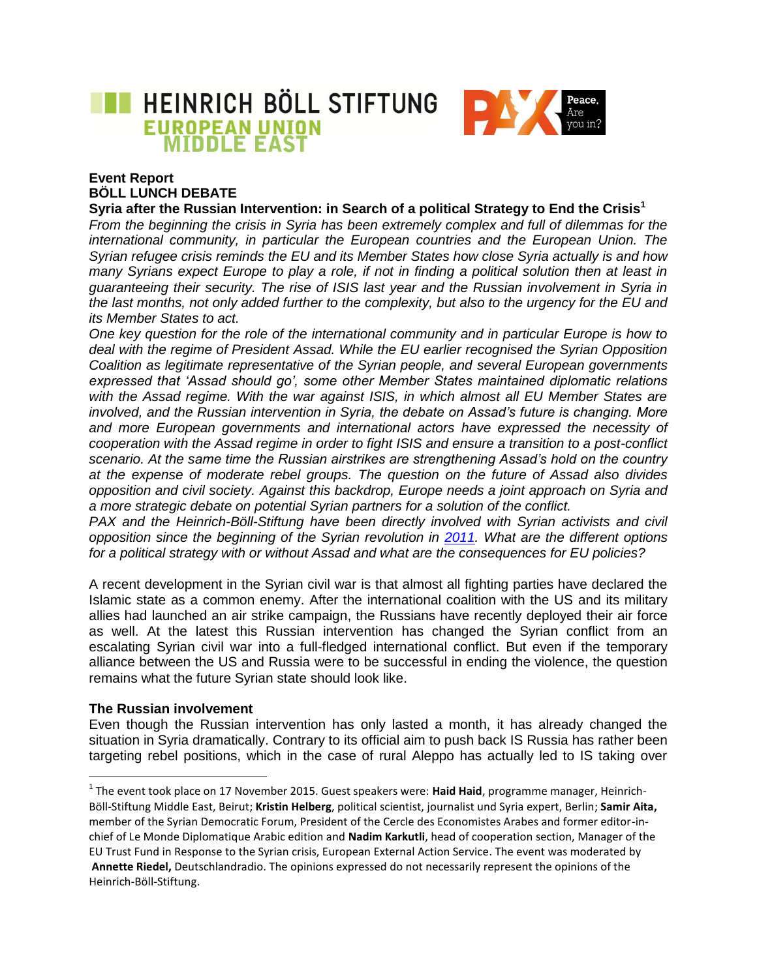

# **Event Report BÖLL LUNCH DEBATE**

#### **Syria after the Russian Intervention: in Search of a political Strategy to End the Crisis<sup>1</sup>**

*From the beginning the crisis in Syria has been extremely complex and full of dilemmas for the international community, in particular the European countries and the European Union. The Syrian refugee crisis reminds the EU and its Member States how close Syria actually is and how many Syrians expect Europe to play a role, if not in finding a political solution then at least in guaranteeing their security. The rise of ISIS last year and the Russian involvement in Syria in the last months, not only added further to the complexity, but also to the urgency for the EU and its Member States to act.* 

*One key question for the role of the international community and in particular Europe is how to deal with the regime of President Assad. While the EU earlier recognised the Syrian Opposition Coalition as legitimate representative of the Syrian people, and several European governments expressed that 'Assad should go', some other Member States maintained diplomatic relations with the Assad regime. With the war against ISIS, in which almost all EU Member States are involved, and the Russian intervention in Syria, the debate on Assad's future is changing. More and more European governments and international actors have expressed the necessity of cooperation with the Assad regime in order to fight ISIS and ensure a transition to a post-conflict scenario. At the same time the Russian airstrikes are strengthening Assad's hold on the country at the expense of moderate rebel groups. The question on the future of Assad also divides opposition and civil society. Against this backdrop, Europe needs a joint approach on Syria and a more strategic debate on potential Syrian partners for a solution of the conflict.* 

*PAX and the Heinrich-Böll-Stiftung have been directly involved with Syrian activists and civil opposition since the beginning of the Syrian revolution in [2011.](http://eu.boell.org/en/2014/02/05/situation-syrian-refugees-neighbouring-countries-what-role-should-european-union-play) What are the different options for a political strategy with or without Assad and what are the consequences for EU policies?*

A recent development in the Syrian civil war is that almost all fighting parties have declared the Islamic state as a common enemy. After the international coalition with the US and its military allies had launched an air strike campaign, the Russians have recently deployed their air force as well. At the latest this Russian intervention has changed the Syrian conflict from an escalating Syrian civil war into a full-fledged international conflict. But even if the temporary alliance between the US and Russia were to be successful in ending the violence, the question remains what the future Syrian state should look like.

#### **The Russian involvement**

 $\overline{\phantom{a}}$ 

Even though the Russian intervention has only lasted a month, it has already changed the situation in Syria dramatically. Contrary to its official aim to push back IS Russia has rather been targeting rebel positions, which in the case of rural Aleppo has actually led to IS taking over

<sup>&</sup>lt;sup>1</sup> The event took place on 17 November 2015. Guest speakers were: **Haid Haid**, programme manager, Heinrich-Böll-Stiftung Middle East, Beirut; **Kristin Helberg**, political scientist, journalist und Syria expert, Berlin; **Samir Aita,**  member of the Syrian Democratic Forum, President of the Cercle des Economistes Arabes and former editor-inchief of Le Monde Diplomatique Arabic edition and **Nadim Karkutli**, head of cooperation section, Manager of the EU Trust Fund in Response to the Syrian crisis, European External Action Service. The event was moderated by **Annette Riedel,** Deutschlandradio. The opinions expressed do not necessarily represent the opinions of the Heinrich-Böll-Stiftung.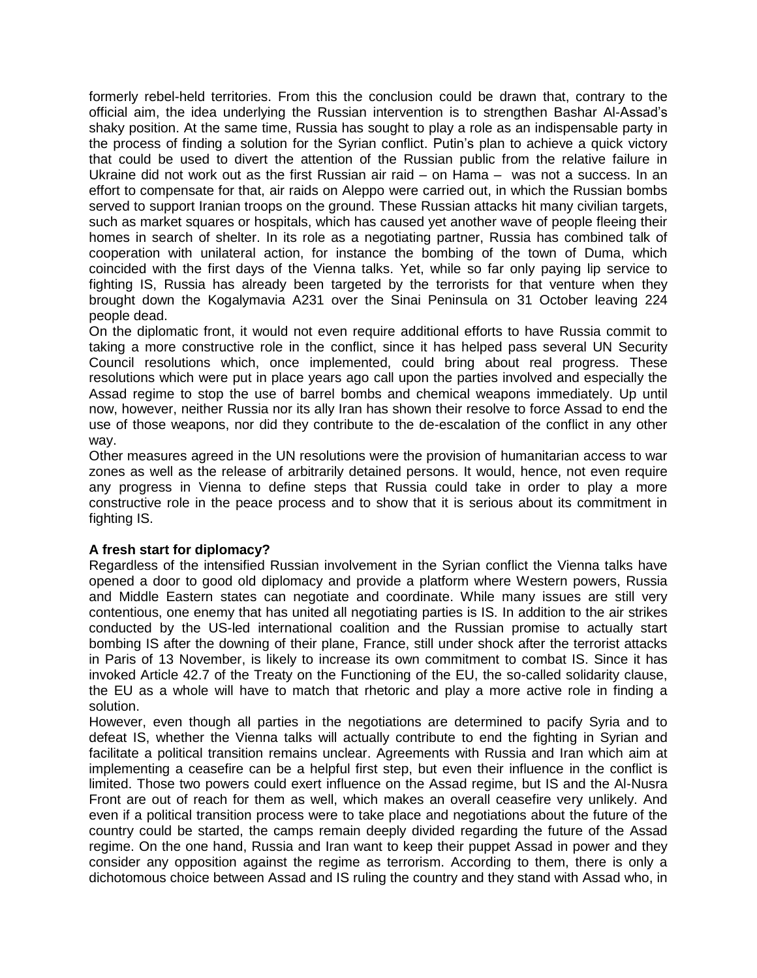formerly rebel-held territories. From this the conclusion could be drawn that, contrary to the official aim, the idea underlying the Russian intervention is to strengthen Bashar Al-Assad's shaky position. At the same time, Russia has sought to play a role as an indispensable party in the process of finding a solution for the Syrian conflict. Putin's plan to achieve a quick victory that could be used to divert the attention of the Russian public from the relative failure in Ukraine did not work out as the first Russian air raid – on Hama – was not a success. In an effort to compensate for that, air raids on Aleppo were carried out, in which the Russian bombs served to support Iranian troops on the ground. These Russian attacks hit many civilian targets, such as market squares or hospitals, which has caused yet another wave of people fleeing their homes in search of shelter. In its role as a negotiating partner, Russia has combined talk of cooperation with unilateral action, for instance the bombing of the town of Duma, which coincided with the first days of the Vienna talks. Yet, while so far only paying lip service to fighting IS, Russia has already been targeted by the terrorists for that venture when they brought down the Kogalymavia A231 over the Sinai Peninsula on 31 October leaving 224 people dead.

On the diplomatic front, it would not even require additional efforts to have Russia commit to taking a more constructive role in the conflict, since it has helped pass several UN Security Council resolutions which, once implemented, could bring about real progress. These resolutions which were put in place years ago call upon the parties involved and especially the Assad regime to stop the use of barrel bombs and chemical weapons immediately. Up until now, however, neither Russia nor its ally Iran has shown their resolve to force Assad to end the use of those weapons, nor did they contribute to the de-escalation of the conflict in any other way.

Other measures agreed in the UN resolutions were the provision of humanitarian access to war zones as well as the release of arbitrarily detained persons. It would, hence, not even require any progress in Vienna to define steps that Russia could take in order to play a more constructive role in the peace process and to show that it is serious about its commitment in fighting IS.

### **A fresh start for diplomacy?**

Regardless of the intensified Russian involvement in the Syrian conflict the Vienna talks have opened a door to good old diplomacy and provide a platform where Western powers, Russia and Middle Eastern states can negotiate and coordinate. While many issues are still very contentious, one enemy that has united all negotiating parties is IS. In addition to the air strikes conducted by the US-led international coalition and the Russian promise to actually start bombing IS after the downing of their plane, France, still under shock after the terrorist attacks in Paris of 13 November, is likely to increase its own commitment to combat IS. Since it has invoked Article 42.7 of the Treaty on the Functioning of the EU, the so-called solidarity clause, the EU as a whole will have to match that rhetoric and play a more active role in finding a solution.

However, even though all parties in the negotiations are determined to pacify Syria and to defeat IS, whether the Vienna talks will actually contribute to end the fighting in Syrian and facilitate a political transition remains unclear. Agreements with Russia and Iran which aim at implementing a ceasefire can be a helpful first step, but even their influence in the conflict is limited. Those two powers could exert influence on the Assad regime, but IS and the Al-Nusra Front are out of reach for them as well, which makes an overall ceasefire very unlikely. And even if a political transition process were to take place and negotiations about the future of the country could be started, the camps remain deeply divided regarding the future of the Assad regime. On the one hand, Russia and Iran want to keep their puppet Assad in power and they consider any opposition against the regime as terrorism. According to them, there is only a dichotomous choice between Assad and IS ruling the country and they stand with Assad who, in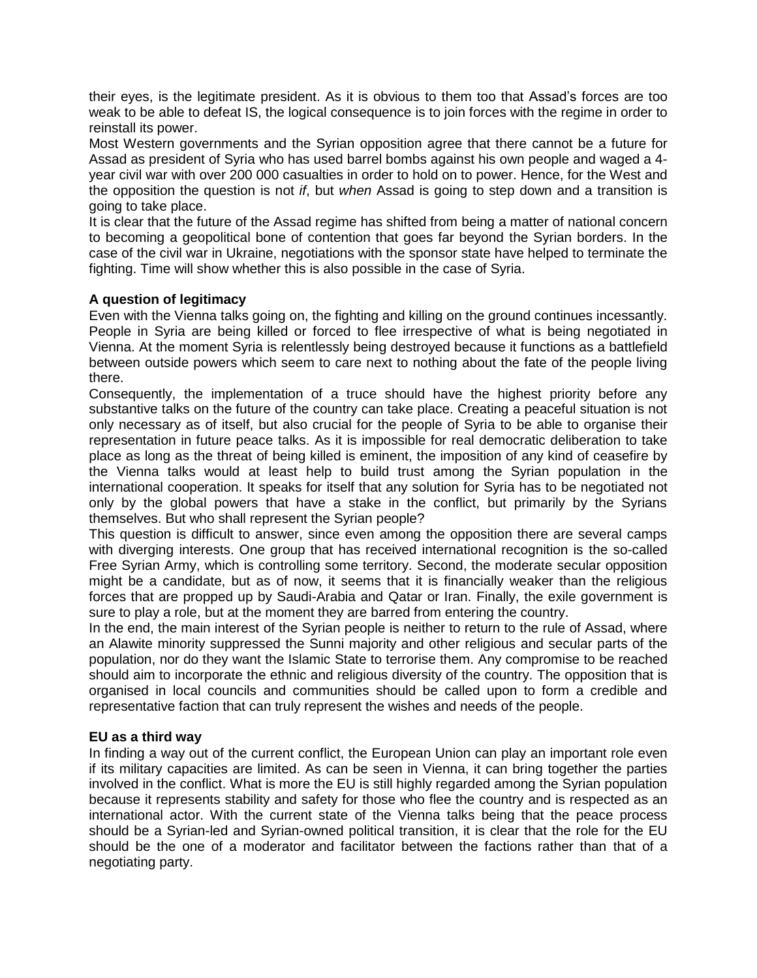their eyes, is the legitimate president. As it is obvious to them too that Assad's forces are too weak to be able to defeat IS, the logical consequence is to join forces with the regime in order to reinstall its power.

Most Western governments and the Syrian opposition agree that there cannot be a future for Assad as president of Syria who has used barrel bombs against his own people and waged a 4 year civil war with over 200 000 casualties in order to hold on to power. Hence, for the West and the opposition the question is not *if*, but *when* Assad is going to step down and a transition is going to take place.

It is clear that the future of the Assad regime has shifted from being a matter of national concern to becoming a geopolitical bone of contention that goes far beyond the Syrian borders. In the case of the civil war in Ukraine, negotiations with the sponsor state have helped to terminate the fighting. Time will show whether this is also possible in the case of Syria.

## **A question of legitimacy**

Even with the Vienna talks going on, the fighting and killing on the ground continues incessantly. People in Syria are being killed or forced to flee irrespective of what is being negotiated in Vienna. At the moment Syria is relentlessly being destroyed because it functions as a battlefield between outside powers which seem to care next to nothing about the fate of the people living there.

Consequently, the implementation of a truce should have the highest priority before any substantive talks on the future of the country can take place. Creating a peaceful situation is not only necessary as of itself, but also crucial for the people of Syria to be able to organise their representation in future peace talks. As it is impossible for real democratic deliberation to take place as long as the threat of being killed is eminent, the imposition of any kind of ceasefire by the Vienna talks would at least help to build trust among the Syrian population in the international cooperation. It speaks for itself that any solution for Syria has to be negotiated not only by the global powers that have a stake in the conflict, but primarily by the Syrians themselves. But who shall represent the Syrian people?

This question is difficult to answer, since even among the opposition there are several camps with diverging interests. One group that has received international recognition is the so-called Free Syrian Army, which is controlling some territory. Second, the moderate secular opposition might be a candidate, but as of now, it seems that it is financially weaker than the religious forces that are propped up by Saudi-Arabia and Qatar or Iran. Finally, the exile government is sure to play a role, but at the moment they are barred from entering the country.

In the end, the main interest of the Syrian people is neither to return to the rule of Assad, where an Alawite minority suppressed the Sunni majority and other religious and secular parts of the population, nor do they want the Islamic State to terrorise them. Any compromise to be reached should aim to incorporate the ethnic and religious diversity of the country. The opposition that is organised in local councils and communities should be called upon to form a credible and representative faction that can truly represent the wishes and needs of the people.

### **EU as a third way**

In finding a way out of the current conflict, the European Union can play an important role even if its military capacities are limited. As can be seen in Vienna, it can bring together the parties involved in the conflict. What is more the EU is still highly regarded among the Syrian population because it represents stability and safety for those who flee the country and is respected as an international actor. With the current state of the Vienna talks being that the peace process should be a Syrian-led and Syrian-owned political transition, it is clear that the role for the EU should be the one of a moderator and facilitator between the factions rather than that of a negotiating party.